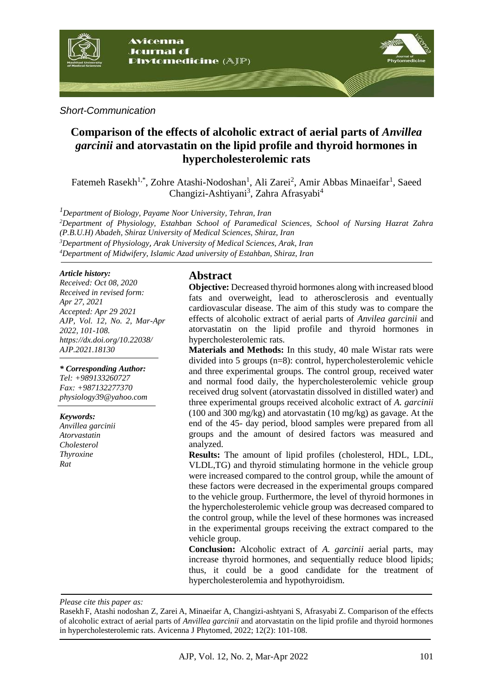

#### *Short-Communication*

# **Comparison of the effects of alcoholic extract of aerial parts of** *Anvillea garcinii* **and atorvastatin on the lipid profile and thyroid hormones in hypercholesterolemic rats**

Fatemeh Rasekh<sup>1,\*</sup>, Zohre Atashi-Nodoshan<sup>1</sup>, Ali Zarei<sup>2</sup>, Amir Abbas Minaeifar<sup>1</sup>, Saeed Changizi-Ashtiyani<sup>3</sup>, Zahra Afrasyabi<sup>4</sup>

*<sup>1</sup>Department of Biology, Payame Noor University, Tehran, Iran*

*<sup>2</sup>Department of Physiology, Estahban School of Paramedical Sciences, School of Nursing Hazrat Zahra (P.B.U.H) Abadeh, Shiraz University of Medical Sciences, Shiraz, Iran <sup>3</sup>Department of Physiology*, *Arak University of Medical Sciences, Arak, Iran*

*<sup>4</sup>Department of Midwifery, Islamic Azad university of Estahban, Shiraz, Iran*

#### *Article history:*

*Received: Oct 08, 2020 Received in revised form: Apr 27, 2021 Accepted: Apr 29 2021 AJP, Vol. 12, No. 2, Mar-Apr 2022, 101-108. https://dx.doi.org/10.22038/ AJP.2021.18130*

*\* Corresponding Author: Tel: +989133260727 Fax: +987132277370 physiology39@yahoo.com* 

#### *Keywords:*

*Anvillea garcinii Atorvastatin Cholesterol Thyroxine Rat*

# **Abstract**

**Objective:** Decreased thyroid hormones along with increased blood fats and overweight, lead to atherosclerosis and eventually cardiovascular disease. The aim of this study was to compare the effects of alcoholic extract of aerial parts of *Anvilea garcinii* and atorvastatin on the lipid profile and thyroid hormones in hypercholesterolemic rats.

**Materials and Methods:** In this study, 40 male Wistar rats were divided into 5 groups (n=8): control, hypercholesterolemic vehicle and three experimental groups. The control group, received water and normal food daily, the hypercholesterolemic vehicle group received drug solvent (atorvastatin dissolved in distilled water) and three experimental groups received alcoholic extract of *A. garcinii* (100 and 300 mg/kg) and atorvastatin (10 mg/kg) as gavage. At the end of the 45- day period, blood samples were prepared from all groups and the amount of desired factors was measured and analyzed.

**Results:** The amount of lipid profiles (cholesterol, HDL, LDL, VLDL,TG) and thyroid stimulating hormone in the vehicle group were increased compared to the control group, while the amount of these factors were decreased in the experimental groups compared to the vehicle group. Furthermore, the level of thyroid hormones in the hypercholesterolemic vehicle group was decreased compared to the control group, while the level of these hormones was increased in the experimental groups receiving the extract compared to the vehicle group.

**Conclusion:** Alcoholic extract of *A. garcinii* aerial parts, may increase thyroid hormones, and sequentially reduce blood lipids; thus, it could be a good candidate for the treatment of hypercholesterolemia and hypothyroidism.

*Please cite this paper as:* 

Rasekh F, Atashi nodoshan Z, Zarei A, Minaeifar A, Changizi-ashtyani S, Afrasyabi Z. Comparison of the effects of alcoholic extract of aerial parts of *Anvillea garcinii* and atorvastatin on the lipid profile and thyroid hormones in hypercholesterolemic rats. Avicenna J Phytomed, 2022; 12(2): 101-108.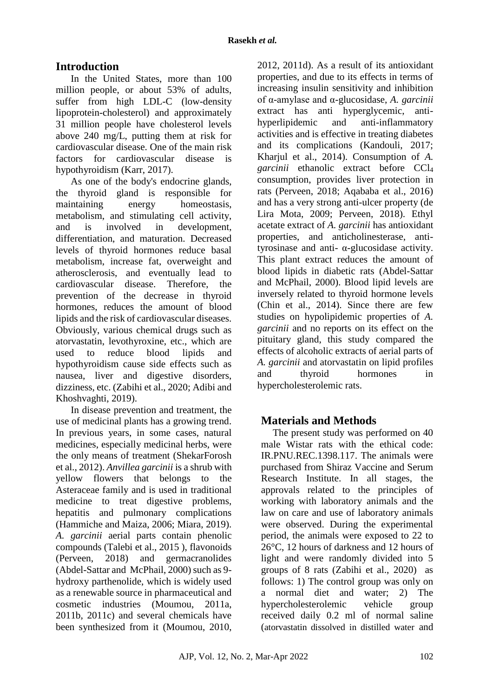# **Introduction**

In the United States, more than 100 million people, or about 53% of adults, suffer from high LDL-C (low-density lipoprotein-cholesterol) and approximately 31 million people have cholesterol levels above 240 mg/L, putting them at risk for cardiovascular disease. One of the main risk factors for cardiovascular disease is hypothyroidism (Karr, 2017).

As one of the body's endocrine glands, the thyroid gland is responsible for maintaining energy homeostasis, metabolism, and stimulating cell activity, and is involved in development, differentiation, and maturation. Decreased levels of thyroid hormones reduce basal metabolism, increase fat, overweight and atherosclerosis, and eventually lead to cardiovascular disease. Therefore, the prevention of the decrease in thyroid hormones, reduces the amount of blood lipids and the risk of cardiovascular diseases. Obviously, various chemical drugs such as atorvastatin, levothyroxine, etc., which are used to reduce blood lipids and hypothyroidism cause side effects such as nausea, liver and digestive disorders, dizziness, etc. (Zabihi et al., 2020; Adibi and Khoshvaghti, 2019).

In disease prevention and treatment, the use of medicinal plants has a growing trend. In previous years, in some cases, natural medicines, especially medicinal herbs, were the only means of treatment (ShekarForosh et al., 2012). *Anvillea garcinii* is a shrub with yellow flowers that belongs to the Asteraceae family and is used in traditional medicine to treat digestive problems, hepatitis and pulmonary complications (Hammiche and Maiza, 2006; Miara, 2019). *A. garcinii* aerial parts contain phenolic compounds (Talebi et al., 2015 ), flavonoids (Perveen, 2018) and germacranolides (Abdel-Sattar and McPhail, 2000) such as 9 hydroxy parthenolide, which is widely used as a renewable source in pharmaceutical and cosmetic industries (Moumou, 2011a, 2011b, 2011c) and several chemicals have been synthesized from it (Moumou, 2010,

2012, 2011d). As a result of its antioxidant properties, and due to its effects in terms of increasing insulin sensitivity and inhibition of α-amylase and α-glucosidase, *A. garcinii* extract has anti hyperglycemic, antihyperlipidemic and anti-inflammatory activities and is effective in treating diabetes and its complications (Kandouli, 2017; Kharjul et al., 2014). Consumption of *A. garcinii* ethanolic extract before CCl<sup>4</sup> consumption, provides liver protection in rats (Perveen, 2018; Aqababa et al., 2016) and has a very strong anti-ulcer property (de Lira Mota, 2009; Perveen, 2018). Ethyl acetate extract of *A. garcinii* has antioxidant properties, and anticholinesterase, antityrosinase and anti- α-glucosidase activity. This plant extract reduces the amount of blood lipids in diabetic rats (Abdel-Sattar and McPhail, 2000). Blood lipid levels are inversely related to thyroid hormone levels (Chin et al., 2014). Since there are few studies on hypolipidemic properties of *A. garcinii* and no reports on its effect on the pituitary gland, this study compared the effects of alcoholic extracts of aerial parts of *A. garcinii* and atorvastatin on lipid profiles and thyroid hormones in hypercholesterolemic rats.

# **Materials and Methods**

The present study was performed on 40 male Wistar rats with the ethical code: IR.PNU.REC.1398.117. The animals were purchased from Shiraz Vaccine and Serum Research Institute. In all stages, the approvals related to the principles of working with laboratory animals and the law on care and use of laboratory animals were observed. During the experimental period, the animals were exposed to 22 to 26°C, 12 hours of darkness and 12 hours of light and were randomly divided into 5 groups of 8 rats (Zabihi et al., 2020) as follows: 1) The control group was only on a normal diet and water; 2) The hypercholesterolemic vehicle group received daily 0.2 ml of normal saline (atorvastatin dissolved in distilled water and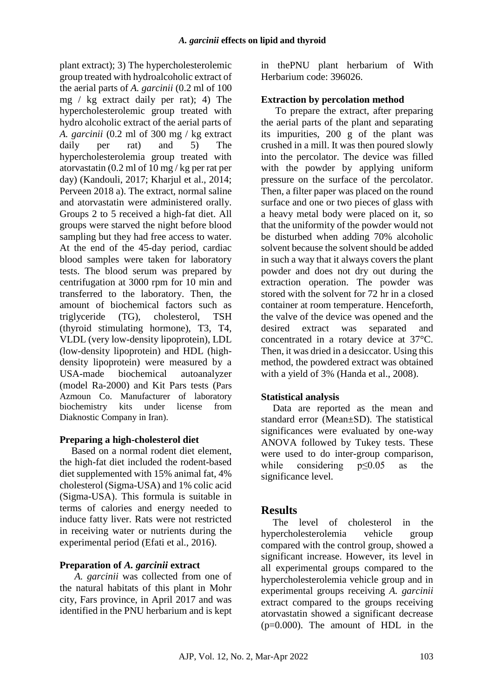plant extract); 3) The hypercholesterolemic group treated with hydroalcoholic extract of the aerial parts of *A. garcinii* (0.2 ml of 100 mg / kg extract daily per rat); 4) The hypercholesterolemic group treated with hydro alcoholic extract of the aerial parts of *A. garcinii* (0.2 ml of 300 mg / kg extract daily per rat) and 5) The hypercholesterolemia group treated with atorvastatin (0.2 ml of 10 mg / kg per rat per day) (Kandouli, 2017; Kharjul et al., 2014; Perveen 2018 a). The extract, normal saline and atorvastatin were administered orally. Groups 2 to 5 received a high-fat diet. All groups were starved the night before blood sampling but they had free access to water. At the end of the 45-day period, cardiac blood samples were taken for laboratory tests. The blood serum was prepared by centrifugation at 3000 rpm for 10 min and transferred to the laboratory. Then, the amount of biochemical factors such as triglyceride (TG), cholesterol, TSH (thyroid stimulating hormone), T3, T4, VLDL (very low-density lipoprotein), LDL (low-density lipoprotein) and HDL (highdensity lipoprotein) were measured by a USA-made biochemical autoanalyzer (model Ra-2000) and Kit Pars tests (Pars Azmoun Co. Manufacturer of laboratory biochemistry kits under license from Diaknostic Company in Iran).

### **Preparing a high-cholesterol diet**

Based on a normal rodent diet element, the high-fat diet included the rodent-based diet supplemented with 15% animal fat, 4% cholesterol (Sigma-USA) and 1% colic acid (Sigma-USA). This formula is suitable in terms of calories and energy needed to induce fatty liver. Rats were not restricted in receiving water or nutrients during the experimental period (Efati et al., 2016).

### **Preparation of** *A. garcinii* **extract**

*A. garcinii* was collected from one of the natural habitats of this plant in Mohr city, Fars province, in April 2017 and was identified in the PNU herbarium and is kept in thePNU plant herbarium of With Herbarium code: 396026.

#### **Extraction by percolation method**

To prepare the extract, after preparing the aerial parts of the plant and separating its impurities, 200 g of the plant was crushed in a mill. It was then poured slowly into the percolator. The device was filled with the powder by applying uniform pressure on the surface of the percolator. Then, a filter paper was placed on the round surface and one or two pieces of glass with a heavy metal body were placed on it, so that the uniformity of the powder would not be disturbed when adding 70% alcoholic solvent because the solvent should be added in such a way that it always covers the plant powder and does not dry out during the extraction operation. The powder was stored with the solvent for 72 hr in a closed container at room temperature. Henceforth, the valve of the device was opened and the desired extract was separated and concentrated in a rotary device at 37°C. Then, it was dried in a desiccator. Using this method, the powdered extract was obtained with a yield of 3% (Handa et al., 2008).

### **Statistical analysis**

Data are reported as the mean and standard error (Mean±SD). The statistical significances were evaluated by one-way ANOVA followed by Tukey tests. These were used to do inter-group comparison, while considering p≤0.05 as the significance level.

### **Results**

The level of cholesterol in the hypercholesterolemia vehicle group compared with the control group, showed a significant increase. However, its level in all experimental groups compared to the hypercholesterolemia vehicle group and in experimental groups receiving *A. garcinii*  extract compared to the groups receiving atorvastatin showed a significant decrease  $(p=0.000)$ . The amount of HDL in the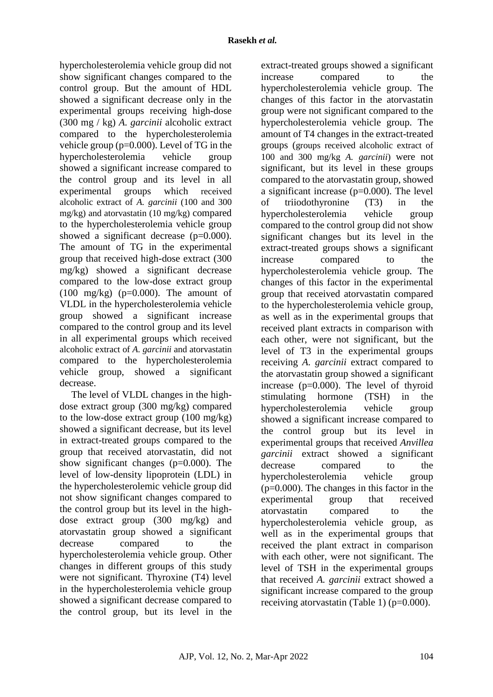hypercholesterolemia vehicle group did not show significant changes compared to the control group. But the amount of HDL showed a significant decrease only in the experimental groups receiving high-dose (300 mg / kg) *A. garcinii* alcoholic extract compared to the hypercholesterolemia vehicle group (p=0.000). Level of TG in the hypercholesterolemia vehicle group showed a significant increase compared to the control group and its level in all experimental groups which received alcoholic extract of *A. garcinii* (100 and 300 mg/kg) and atorvastatin (10 mg/kg) compared to the hypercholesterolemia vehicle group showed a significant decrease (p=0.000). The amount of TG in the experimental group that received high-dose extract (300 mg/kg) showed a significant decrease compared to the low-dose extract group  $(100 \text{ mg/kg})$  (p=0.000). The amount of VLDL in the hypercholesterolemia vehicle group showed a significant increase compared to the control group and its level in all experimental groups which received alcoholic extract of *A. garcinii* and atorvastatin compared to the hypercholesterolemia vehicle group, showed a significant decrease.

The level of VLDL changes in the highdose extract group (300 mg/kg) compared to the low-dose extract group (100 mg/kg) showed a significant decrease, but its level in extract-treated groups compared to the group that received atorvastatin, did not show significant changes (p=0.000). The level of low-density lipoprotein (LDL) in the hypercholesterolemic vehicle group did not show significant changes compared to the control group but its level in the highdose extract group (300 mg/kg) and atorvastatin group showed a significant decrease compared to the hypercholesterolemia vehicle group. Other changes in different groups of this study were not significant. Thyroxine (T4) level in the hypercholesterolemia vehicle group showed a significant decrease compared to the control group, but its level in the extract-treated groups showed a significant increase compared to the hypercholesterolemia vehicle group. The changes of this factor in the atorvastatin group were not significant compared to the hypercholesterolemia vehicle group. The amount of T4 changes in the extract-treated groups (groups received alcoholic extract of 100 and 300 mg/kg *A. garcinii*) were not significant, but its level in these groups compared to the atorvastatin group, showed a significant increase (p=0.000). The level of triiodothyronine (T3) in the hypercholesterolemia vehicle group compared to the control group did not show significant changes but its level in the extract-treated groups shows a significant increase compared to the hypercholesterolemia vehicle group. The changes of this factor in the experimental group that received atorvastatin compared to the hypercholesterolemia vehicle group, as well as in the experimental groups that received plant extracts in comparison with each other, were not significant, but the level of T3 in the experimental groups receiving *A. garcinii* extract compared to the atorvastatin group showed a significant increase (p=0.000). The level of thyroid stimulating hormone (TSH) in the hypercholesterolemia vehicle group showed a significant increase compared to the control group but its level in experimental groups that received *Anvillea garcinii* extract showed a significant decrease compared to the hypercholesterolemia vehicle group (p=0.000). The changes in this factor in the experimental group that received atorvastatin compared to the hypercholesterolemia vehicle group, as well as in the experimental groups that received the plant extract in comparison with each other, were not significant. The level of TSH in the experimental groups that received *A. garcinii* extract showed a significant increase compared to the group receiving atorvastatin (Table 1) (p=0.000).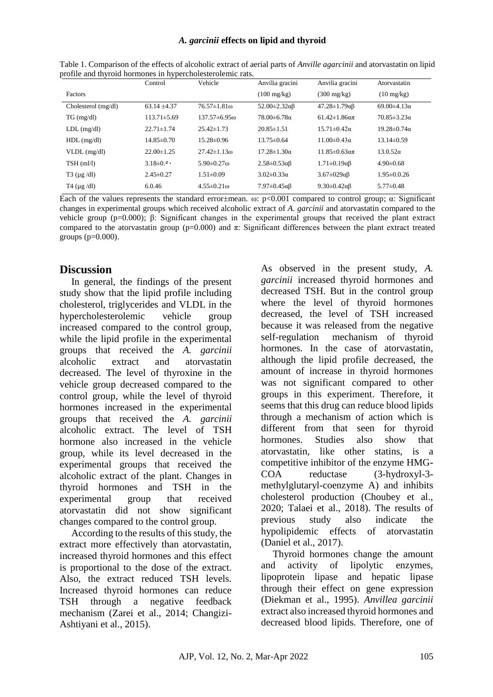#### *A. garcinii* **effects on lipid and thyroid**

|                               | Control           | Vehicle                | Anvilia gracini               | Anvilia gracini                  | Atorvastatin            |
|-------------------------------|-------------------|------------------------|-------------------------------|----------------------------------|-------------------------|
| Factors                       |                   |                        | $(100 \text{ mg/kg})$         | $(300 \text{ mg/kg})$            | $(10 \text{ mg/kg})$    |
| Cholesterol (mg/dl)           | $63.14 + 4.37$    | $76.57 \pm 1.81$ m     | $52.00 \pm 2.32 \alpha \beta$ | $47.28 \pm 1.79 \alpha B$        | $69.00 \pm 4.13 \alpha$ |
| TG (mg/dl)                    | $113.71 \pm 5.69$ | $137.57\pm 6.95$ m     | $78.00 \pm 6.78 \alpha$       | $61.42 \pm 1.86$ a $\pi$         | $70.85 \pm 3.23 \alpha$ |
| $LDL$ (mg/dl)                 | $22.71 \pm 1.74$  | $25.42 \pm 1.73$       | $20.85 \pm 1.51$              | $15.71 \pm 0.42\alpha$           | $19.28 \pm 0.74 \alpha$ |
| $HDL$ (mg/dl)                 | $14.85\pm0.70$    | $15.28 \pm 0.96$       | $13.75 \pm 0.64$              | $11.00 \pm 0.43 \alpha$          | $13.14\pm0.59$          |
| $VLDL$ (mg/dl)                | $22.00 \pm 1.25$  | $27.42 \pm 1.13$ m     | $17.28 \pm 1.30 \alpha$       | $11.85 \pm 0.63 \alpha \pi$      | $13.0.52\alpha$         |
| $TSH$ (ml/l)                  | $3.18\pm0.0$      | $5.90 \pm 0.27 \omega$ | $2.58 \pm 0.53 \alpha \beta$  | $1.71 \pm 0.19 \alpha \beta$     | $4.90\pm0.68$           |
| $T3$ ( $\mu$ g /dl)           | $2.45\pm0.27$     | $1.51 \pm 0.09$        | $3.02 \pm 0.33 \alpha$        | $3.67 \pm 0.29 \alpha \beta$     | $1.95 \pm 0.026$        |
| $T4 \left( \mu g / d \right)$ | 6.0.46            | $4.55 \pm 0.21$ m      | $7.97 \pm 0.45 \alpha \beta$  | 9.30 $\pm$ 0.42 $\alpha$ $\beta$ | $5.77\pm0.48$           |

Table 1. Comparison of the effects of alcoholic extract of aerial parts of *Anville agarcinii* and atorvastatin on lipid profile and thyroid hormones in hypercholesterolemic rats.

Each of the values represents the standard error±mean.  $\omega$ : p<0.001 compared to control group;  $\alpha$ : Significant changes in experimental groups which received alcoholic extract of *A. garcinii* and atorvastatin compared to the vehicle group (p=0.000); β: Significant changes in the experimental groups that received the plant extract compared to the atorvastatin group (p=0.000) and  $\pi$ : Significant differences between the plant extract treated groups  $(p=0.000)$ .

## **Discussion**

In general, the findings of the present study show that the lipid profile including cholesterol, triglycerides and VLDL in the hypercholesterolemic vehicle group increased compared to the control group, while the lipid profile in the experimental groups that received the *A. garcinii* alcoholic extract and atorvastatin decreased. The level of thyroxine in the vehicle group decreased compared to the control group, while the level of thyroid hormones increased in the experimental groups that received the *A. garcinii* alcoholic extract. The level of TSH hormone also increased in the vehicle group, while its level decreased in the experimental groups that received the alcoholic extract of the plant. Changes in thyroid hormones and TSH in the experimental group that received atorvastatin did not show significant changes compared to the control group.

According to the results of this study, the extract more effectively than atorvastatin, increased thyroid hormones and this effect is proportional to the dose of the extract. Also, the extract reduced TSH levels. Increased thyroid hormones can reduce TSH through a negative feedback mechanism (Zarei et al., 2014; Changizi-Ashtiyani et al., 2015).

As observed in the present study, *A. garcinii* increased thyroid hormones and decreased TSH. But in the control group where the level of thyroid hormones decreased, the level of TSH increased because it was released from the negative self-regulation mechanism of thyroid hormones. In the case of atorvastatin, although the lipid profile decreased, the amount of increase in thyroid hormones was not significant compared to other groups in this experiment. Therefore, it seems that this drug can reduce blood lipids through a mechanism of action which is different from that seen for thyroid hormones. Studies also show that atorvastatin, like other statins, is a competitive inhibitor of the enzyme HMG-COA reductase (3-hydroxyl-3 methylglutaryl-coenzyme A) and inhibits cholesterol production (Choubey et al., 2020; Talaei et al., 2018). The results of previous study also indicate the hypolipidemic effects of atorvastatin (Daniel et al., 2017).

Thyroid hormones change the amount and activity of lipolytic enzymes, lipoprotein lipase and hepatic lipase through their effect on gene expression (Diekman et al., 1995). *Anvillea garcinii* extract also increased thyroid hormones and decreased blood lipids. Therefore, one of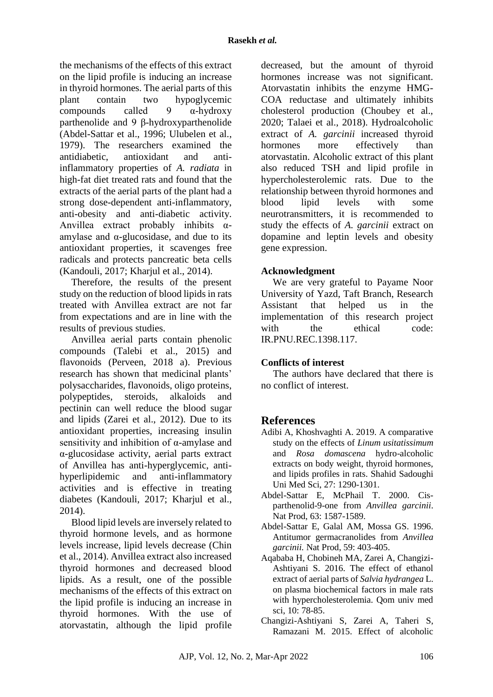the mechanisms of the effects of this extract on the lipid profile is inducing an increase in thyroid hormones. The aerial parts of this plant contain two hypoglycemic compounds called  $9 - \alpha$ -hydroxy parthenolide and 9 β-hydroxyparthenolide (Abdel-Sattar et al., 1996; Ulubelen et al., 1979). The researchers examined the antidiabetic, antioxidant and antiinflammatory properties of *A. radiata* in high-fat diet treated rats and found that the extracts of the aerial parts of the plant had a strong dose-dependent anti-inflammatory, anti-obesity and anti-diabetic activity. Anvillea extract probably inhibits αamylase and  $\alpha$ -glucosidase, and due to its antioxidant properties, it scavenges free radicals and protects pancreatic beta cells (Kandouli, 2017; Kharjul et al., 2014).

Therefore, the results of the present study on the reduction of blood lipids in rats treated with Anvillea extract are not far from expectations and are in line with the results of previous studies.

Anvillea aerial parts contain phenolic compounds (Talebi et al., 2015) and flavonoids (Perveen, 2018 a). Previous research has shown that medicinal plants' polysaccharides, flavonoids, oligo proteins, polypeptides, steroids, alkaloids and pectinin can well reduce the blood sugar and lipids (Zarei et al., 2012). Due to its antioxidant properties, increasing insulin sensitivity and inhibition of α-amylase and α-glucosidase activity, aerial parts extract of Anvillea has anti-hyperglycemic, antihyperlipidemic and anti-inflammatory activities and is effective in treating diabetes (Kandouli, 2017; Kharjul et al., 2014).

Blood lipid levels are inversely related to thyroid hormone levels, and as hormone levels increase, lipid levels decrease (Chin et al., 2014). Anvillea extract also increased thyroid hormones and decreased blood lipids. As a result, one of the possible mechanisms of the effects of this extract on the lipid profile is inducing an increase in thyroid hormones. With the use of atorvastatin, although the lipid profile decreased, but the amount of thyroid hormones increase was not significant. Atorvastatin inhibits the enzyme HMG-COA reductase and ultimately inhibits cholesterol production (Choubey et al., 2020; Talaei et al., 2018). Hydroalcoholic extract of *A. garcinii* increased thyroid hormones more effectively than atorvastatin. Alcoholic extract of this plant also reduced TSH and lipid profile in hypercholesterolemic rats. Due to the relationship between thyroid hormones and blood lipid levels with some neurotransmitters, it is recommended to study the effects of *A. garcinii* extract on dopamine and leptin levels and obesity gene expression.

### **Acknowledgment**

We are very grateful to Payame Noor University of Yazd, Taft Branch, Research Assistant that helped us in the implementation of this research project with the ethical code: IR.PNU.REC.1398.117.

### **Conflicts of interest**

The authors have declared that there is no conflict of interest.

# **References**

- Adibi A, Khoshvaghti A. 2019. A comparative study on the effects of *Linum usitatissimum* and *Rosa domascena* hydro-alcoholic extracts on body weight, thyroid hormones, and lipids profiles in rats. Shahid Sadoughi Uni Med Sci, 27: 1290-1301.
- Abdel-Sattar E, McPhail T. 2000. Cisparthenolid-9-one from *Anvillea garcinii*. Nat Prod, 63: 1587-1589.
- Abdel-Sattar E, Galal AM, Mossa GS. 1996. Antitumor germacranolides from *Anvillea garcinii.* Nat Prod, 59: 403-405.
- Aqababa H, Chobineh MA, Zarei A, Changizi-Ashtiyani S. 2016. The effect of ethanol extract of aerial parts of *Salvia hydrangea* L. on plasma biochemical factors in male rats with hypercholesterolemia. Qom univ med sci, 10: 78-85.
- Changizi-Ashtiyani S, Zarei A, Taheri S, Ramazani M. 2015. Effect of alcoholic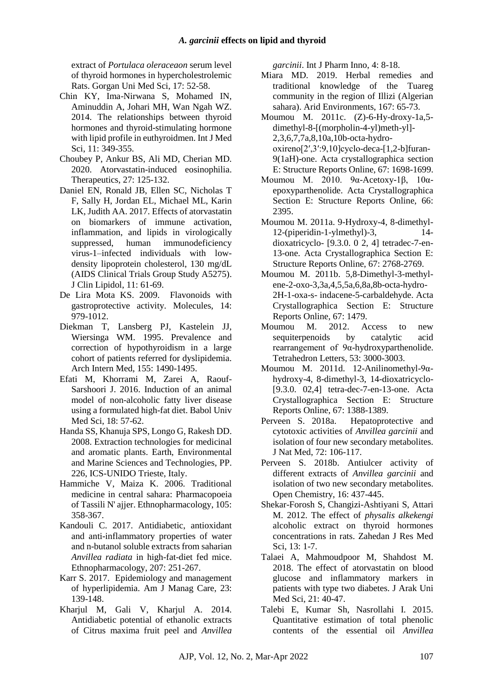extract of *Portulaca oleraceaon* serum level of thyroid hormones in hypercholestrolemic Rats. Gorgan Uni Med Sci, 17: 52-58.

- Chin KY, Ima-Nirwana S, Mohamed IN, Aminuddin A, Johari MH, Wan Ngah WZ. 2014. The relationships between thyroid hormones and thyroid-stimulating hormone with lipid profile in euthyroidmen. Int J Med Sci, 11: 349-355.
- Choubey P, Ankur BS, Ali MD, Cherian MD. 2020. Atorvastatin-induced eosinophilia. Therapeutics, 27: 125-132.
- [Daniel EN,](https://pubmed.ncbi.nlm.nih.gov/?term=Nixon+DE&cauthor_id=28391912) [Ronald JB,](https://pubmed.ncbi.nlm.nih.gov/?term=Bosch+RJ&cauthor_id=28391912) [Ellen SC,](https://pubmed.ncbi.nlm.nih.gov/?term=Chan+ES&cauthor_id=28391912) Nicholas T F, Sally H, Jordan EL, Michael ML, Karin LK, Judith AA. 2017. Effects of atorvastatin on biomarkers of immune activation, inflammation, and lipids in virologically suppressed, human immunodeficiency virus-1–infected individuals with lowdensity lipoprotein cholesterol, 130 mg/dL (AIDS Clinical Trials Group Study A5275). J Clin Lipidol, 11: 61-69.
- De Lira Mota KS. 2009. Flavonoids with gastroprotective activity. Molecules, 14: 979-1012.
- Diekman T, Lansberg PJ, Kastelein JJ, Wiersinga WM. 1995. Prevalence and correction of hypothyroidism in a large cohort of patients referred for dyslipidemia. Arch Intern Med, 155: 1490-1495.
- Efati M, Khorrami M, Zarei A, Raouf-Sarshoori J. 2016. Induction of an animal model of non-alcoholic fatty liver disease using a formulated high-fat diet. Babol Univ Med Sci, 18: 57-62.
- Handa SS, Khanuja SPS, Longo G, Rakesh DD. 2008. Extraction technologies for medicinal and aromatic plants. Earth, Environmental and Marine Sciences and Technologies, PP. 226, ICS-UNIDO Trieste, Italy.
- Hammiche V, Maiza K. 2006. Traditional medicine in central sahara: Pharmacopoeia of Tassili N' ajjer. Ethnopharmacology, 105: 358-367.
- Kandouli C. 2017. Antidiabetic, antioxidant and anti-inflammatory properties of water and n-butanol soluble extracts from saharian *Anvillea radiata* in high-fat-diet fed mice. Ethnopharmacology, 207: 251-267.
- Karr S. 2017. Epidemiology and management of hyperlipidemia. Am J Manag Care, 23: 139-148.
- Kharjul M, Gali V, Kharjul A. 2014. Antidiabetic potential of ethanolic extracts of Citrus maxima fruit peel and *Anvillea*

*garcinii*. Int J Pharm Inno, 4: 8-18.

- Miara MD. 2019. Herbal remedies and traditional knowledge of the Tuareg community in the region of Illizi (Algerian sahara). Arid Environments, 167: 65-73.
- Moumou M. 2011c. (Z)-6-Hy-droxy-1a,5 dimethyl-8-[(morpholin-4-yl)meth-yl]- 2,3,6,7,7a,8,10a,10b-octa-hydrooxireno[2′,3′:9,10]cyclo-deca-[1,2-b]furan-9(1aH)-one. Acta crystallographica section E: Structure Reports Online, 67: 1698-1699.
- Moumou M. 2010. 9α-Acetoxy-1β, 10αepoxyparthenolide. Acta Crystallographica Section E: Structure Reports Online, 66: 2395.
- Moumou M. 2011a. 9-Hydroxy-4, 8-dimethyl-12-(piperidin-1-ylmethyl)-3, 14 dioxatricyclo- [9.3.0. 0 2, 4] tetradec-7-en-13-one. Acta Crystallographica Section E: Structure Reports Online, 67: 2768-2769.
- Moumou M. 2011b. 5,8-Dimethyl-3-methylene-2-oxo-3,3a,4,5,5a,6,8a,8b-octa-hydro-2H-1-oxa-s- indacene-5-carbaldehyde. Acta Crystallographica Section E: Structure Reports Online, 67: 1479.
- Moumou M. 2012. Access to new sequiterpenoids by catalytic acid rearrangement of 9α-hydroxyparthenolide. Tetrahedron Letters, 53: 3000-3003.
- Moumou M. 2011d. 12-Anilinomethyl-9αhydroxy-4, 8-dimethyl-3, 14-dioxatricyclo- [9.3.0. 02,4] tetra-dec-7-en-13-one. Acta Crystallographica Section E: Structure Reports Online, 67: 1388-1389.
- Perveen S. 2018a. Hepatoprotective and cytotoxic activities of *Anvillea garcinii* and isolation of four new secondary metabolites. J Nat Med, 72: 106-117.
- Perveen S. 2018b. Antiulcer activity of different extracts of *Anvillea garcinii* and isolation of two new secondary metabolites. Open Chemistry, 16: 437-445.
- Shekar-Forosh S, Changizi-Ashtiyani S, Attari M. 2012. The effect of *physalis alkekengi* alcoholic extract on thyroid hormones concentrations in rats. Zahedan J Res Med Sci, 13: 1-7.
- Talaei A, Mahmoudpoor M, Shahdost M. 2018. The effect of atorvastatin on blood glucose and inflammatory markers in patients with type two diabetes. J Arak Uni Med Sci, 21: 40-47.
- Talebi E, Kumar Sh, Nasrollahi I. 2015. Quantitative estimation of total phenolic contents of the essential oil *Anvillea*